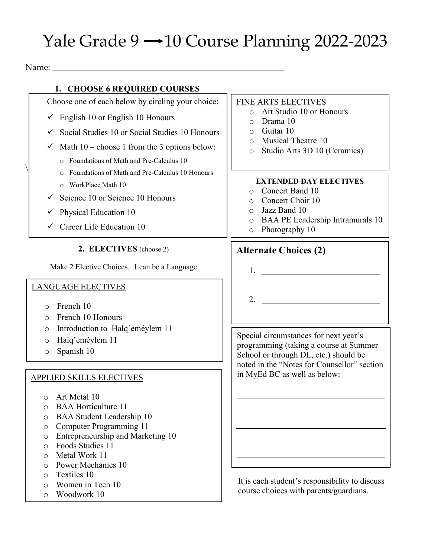# Yale Grade  $9 \rightarrow 10$  Course Planning 2022-2023

Name: \_\_\_\_\_\_\_\_\_\_\_\_\_\_\_\_\_\_\_\_\_\_\_\_\_\_\_\_\_\_\_\_\_\_\_\_\_\_\_\_\_\_\_\_\_\_\_\_\_\_\_\_\_\_\_

 $\setminus$ 

## **1. CHOOSE 6 REQUIRED COURSES**

Choose one of each below by circling your choice:  $\checkmark$  English 10 or English 10 Honours

- 
- $\checkmark$  Social Studies 10 or Social Studies 10 Honours
- $\checkmark$  Math 10 choose 1 from the 3 options below:
	- o Foundations of Math and Pre-Calculus 10
	- o Foundations of Math and Pre-Calculus 10 Honours
	- o WorkPlace Math 10
- $\checkmark$  Science 10 or Science 10 Honours
- $\checkmark$  Physical Education 10
- $\checkmark$  Career Life Education 10

**2. ELECTIVES** (choose 2)

Make 2 Elective Choices. 1 can be a Language

#### LANGUAGE ELECTIVES

- o French 10
- o French 10 Honours
- o Introduction to Halq'eméylem 11
- o Halq'eméylem 11
- o Spanish 10

#### APPLIED SKILLS ELECTIVES

- o Art Metal 10
- o BAA Horticulture 11
- o BAA Student Leadership 10
- o Computer Programming 11
- o Entrepreneurship and Marketing 10
- o Foods Studies 11
- o Metal Work 11
- o Power Mechanics 10
- o Textiles 10
- o Women in Tech 10
- o Woodwork 10

#### FINE ARTS ELECTIVES

- o Art Studio 10 or Honours
- o Drama 10
- o Guitar 10
- o Musical Theatre 10
- o Studio Arts 3D 10 (Ceramics)

#### **EXTENDED DAY ELECTIVES**

- o Concert Band 10
- o Concert Choir 10
- o Jazz Band 10
- o BAA PE Leadership Intramurals 10
- o Photography 10

## **Alternate Choices (2)**

- $1.$   $\qquad \qquad$
- $2.$

Special circumstances for next year's programming (taking a course at Summer School or through DL, etc.) should be noted in the "Notes for Counsellor" section in MyEd BC as well as below:

It is each student's responsibility to discuss course choices with parents/guardians.